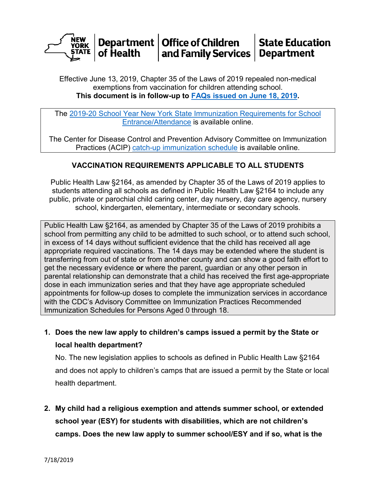

Effective June 13, 2019, Chapter 35 of the Laws of 2019 repealed non-medical exemptions from vaccination for children attending school. **This document is in follow-up to [FAQs issued on June 18, 2019.](https://www.health.ny.gov/publications/2170/docs/nonmedical_vaccine_exemption_faq.pdf)**

The [2019-20 School Year New York State Immunization Requirements for School](https://www.health.ny.gov/publications/2370_2019.pdf)  [Entrance/Attendance](https://www.health.ny.gov/publications/2370_2019.pdf) is available online.

The Center for Disease Control and Prevention Advisory Committee on Immunization Practices (ACIP) [catch-up immunization schedule](https://www.cdc.gov/vaccines/schedules/downloads/child/0-18yrs-child-combined-schedule.pdf) is available online.

## **VACCINATION REQUIREMENTS APPLICABLE TO ALL STUDENTS**

Public Health Law §2164, as amended by Chapter 35 of the Laws of 2019 applies to students attending all schools as defined in Public Health Law §2164 to include any public, private or parochial child caring center, day nursery, day care agency, nursery school, kindergarten, elementary, intermediate or secondary schools.

Public Health Law §2164, as amended by Chapter 35 of the Laws of 2019 prohibits a school from permitting any child to be admitted to such school, or to attend such school, in excess of 14 days without sufficient evidence that the child has received all age appropriate required vaccinations. The 14 days may be extended where the student is transferring from out of state or from another county and can show a good faith effort to get the necessary evidence **or** where the parent, guardian or any other person in parental relationship can demonstrate that a child has received the first age-appropriate dose in each immunization series and that they have age appropriate scheduled appointments for follow-up doses to complete the immunization services in accordance with the CDC's Advisory Committee on Immunization Practices Recommended Immunization Schedules for Persons Aged 0 through 18.

**1. Does the new law apply to children's camps issued a permit by the State or local health department?**

No. The new legislation applies to schools as defined in Public Health Law §2164 and does not apply to children's camps that are issued a permit by the State or local health department.

**2. My child had a religious exemption and attends summer school, or extended school year (ESY) for students with disabilities, which are not children's camps. Does the new law apply to summer school/ESY and if so, what is the**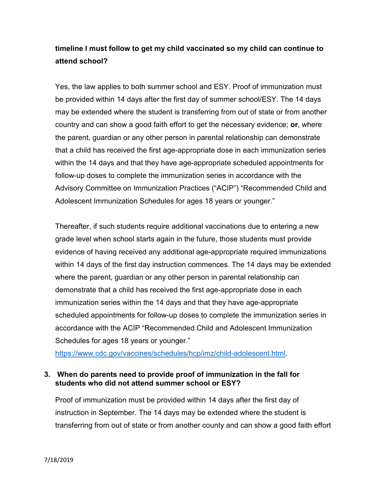## **timeline I must follow to get my child vaccinated so my child can continue to attend school?**

Yes, the law applies to both summer school and ESY. Proof of immunization must be provided within 14 days after the first day of summer school/ESY. The 14 days may be extended where the student is transferring from out of state or from another country and can show a good faith effort to get the necessary evidence; **or**, where the parent, guardian or any other person in parental relationship can demonstrate that a child has received the first age-appropriate dose in each immunization series within the 14 days and that they have age-appropriate scheduled appointments for follow-up doses to complete the immunization series in accordance with the Advisory Committee on Immunization Practices ("ACIP") "Recommended Child and Adolescent Immunization Schedules for ages 18 years or younger."

Thereafter, if such students require additional vaccinations due to entering a new grade level when school starts again in the future, those students must provide evidence of having received any additional age-appropriate required immunizations within 14 days of the first day instruction commences. The 14 days may be extended where the parent, guardian or any other person in parental relationship can demonstrate that a child has received the first age-appropriate dose in each immunization series within the 14 days and that they have age-appropriate scheduled appointments for follow-up doses to complete the immunization series in accordance with the ACIP "Recommended Child and Adolescent Immunization Schedules for ages 18 years or younger."

[https://www.cdc.gov/vaccines/schedules/hcp/imz/child-adolescent.html.](https://www.cdc.gov/vaccines/schedules/hcp/imz/child-adolescent.html)

### **3. When do parents need to provide proof of immunization in the fall for students who did not attend summer school or ESY?**

Proof of immunization must be provided within 14 days after the first day of instruction in September. The 14 days may be extended where the student is transferring from out of state or from another county and can show a good faith effort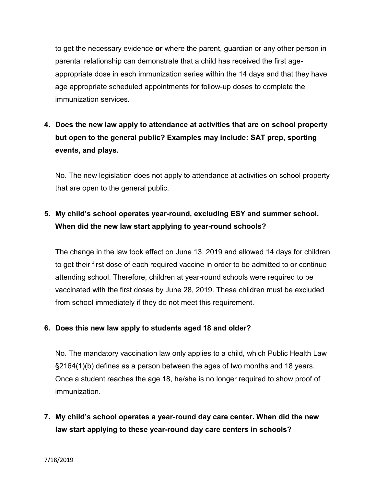to get the necessary evidence **or** where the parent, guardian or any other person in parental relationship can demonstrate that a child has received the first ageappropriate dose in each immunization series within the 14 days and that they have age appropriate scheduled appointments for follow-up doses to complete the immunization services.

# **4. Does the new law apply to attendance at activities that are on school property but open to the general public? Examples may include: SAT prep, sporting events, and plays.**

No. The new legislation does not apply to attendance at activities on school property that are open to the general public.

## **5. My child's school operates year-round, excluding ESY and summer school. When did the new law start applying to year-round schools?**

The change in the law took effect on June 13, 2019 and allowed 14 days for children to get their first dose of each required vaccine in order to be admitted to or continue attending school. Therefore, children at year-round schools were required to be vaccinated with the first doses by June 28, 2019. These children must be excluded from school immediately if they do not meet this requirement.

## **6. Does this new law apply to students aged 18 and older?**

No. The mandatory vaccination law only applies to a child, which Public Health Law §2164(1)(b) defines as a person between the ages of two months and 18 years. Once a student reaches the age 18, he/she is no longer required to show proof of immunization.

**7. My child's school operates a year-round day care center. When did the new law start applying to these year-round day care centers in schools?**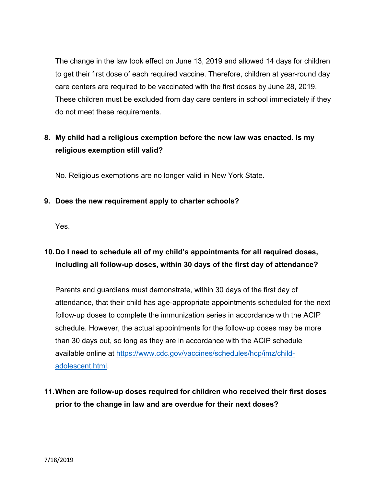The change in the law took effect on June 13, 2019 and allowed 14 days for children to get their first dose of each required vaccine. Therefore, children at year-round day care centers are required to be vaccinated with the first doses by June 28, 2019. These children must be excluded from day care centers in school immediately if they do not meet these requirements.

# **8. My child had a religious exemption before the new law was enacted. Is my religious exemption still valid?**

No. Religious exemptions are no longer valid in New York State.

## **9. Does the new requirement apply to charter schools?**

Yes.

# **10.Do I need to schedule all of my child's appointments for all required doses, including all follow-up doses, within 30 days of the first day of attendance?**

Parents and guardians must demonstrate, within 30 days of the first day of attendance, that their child has age-appropriate appointments scheduled for the next follow-up doses to complete the immunization series in accordance with the ACIP schedule. However, the actual appointments for the follow-up doses may be more than 30 days out, so long as they are in accordance with the ACIP schedule available online at [https://www.cdc.gov/vaccines/schedules/hcp/imz/child](https://www.cdc.gov/vaccines/schedules/hcp/imz/child-adolescent.html)[adolescent.html.](https://www.cdc.gov/vaccines/schedules/hcp/imz/child-adolescent.html)

**11.When are follow-up doses required for children who received their first doses prior to the change in law and are overdue for their next doses?**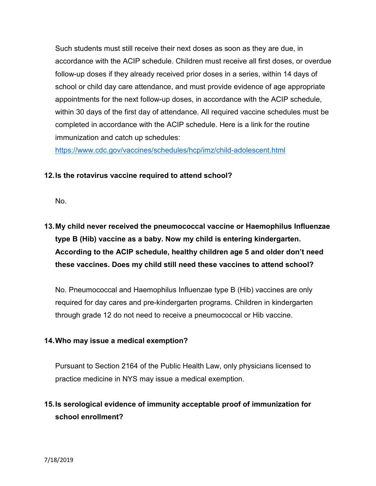Such students must still receive their next doses as soon as they are due, in accordance with the ACIP schedule. Children must receive all first doses, or overdue follow-up doses if they already received prior doses in a series, within 14 days of school or child day care attendance, and must provide evidence of age appropriate appointments for the next follow-up doses, in accordance with the ACIP schedule, within 30 days of the first day of attendance. All required vaccine schedules must be completed in accordance with the ACIP schedule. Here is a link for the routine immunization and catch up schedules:

<https://www.cdc.gov/vaccines/schedules/hcp/imz/child-adolescent.html>

### **12.Is the rotavirus vaccine required to attend school?**

No.

# **13.My child never received the pneumococcal vaccine or Haemophilus Influenzae type B (Hib) vaccine as a baby. Now my child is entering kindergarten. According to the ACIP schedule, healthy children age 5 and older don't need these vaccines. Does my child still need these vaccines to attend school?**

No. Pneumococcal and Haemophilus Influenzae type B (Hib) vaccines are only required for day cares and pre-kindergarten programs. Children in kindergarten through grade 12 do not need to receive a pneumococcal or Hib vaccine.

#### **14.Who may issue a medical exemption?**

Pursuant to Section 2164 of the Public Health Law, only physicians licensed to practice medicine in NYS may issue a medical exemption.

## **15.Is serological evidence of immunity acceptable proof of immunization for school enrollment?**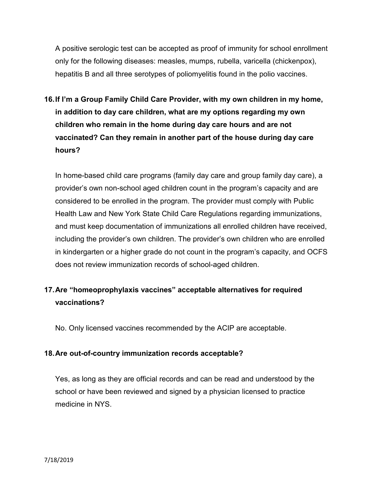A positive serologic test can be accepted as proof of immunity for school enrollment only for the following diseases: measles, mumps, rubella, varicella (chickenpox), hepatitis B and all three serotypes of poliomyelitis found in the polio vaccines.

**16.If I'm a Group Family Child Care Provider, with my own children in my home, in addition to day care children, what are my options regarding my own children who remain in the home during day care hours and are not vaccinated? Can they remain in another part of the house during day care hours?**

In home-based child care programs (family day care and group family day care), a provider's own non-school aged children count in the program's capacity and are considered to be enrolled in the program. The provider must comply with Public Health Law and New York State Child Care Regulations regarding immunizations, and must keep documentation of immunizations all enrolled children have received, including the provider's own children. The provider's own children who are enrolled in kindergarten or a higher grade do not count in the program's capacity, and OCFS does not review immunization records of school-aged children.

# **17.Are "homeoprophylaxis vaccines" acceptable alternatives for required vaccinations?**

No. Only licensed vaccines recommended by the ACIP are acceptable.

## **18.Are out-of-country immunization records acceptable?**

Yes, as long as they are official records and can be read and understood by the school or have been reviewed and signed by a physician licensed to practice medicine in NYS.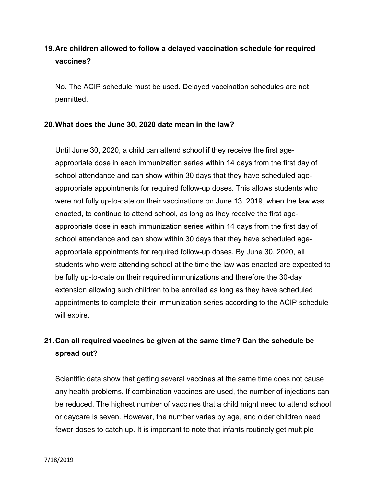# **19.Are children allowed to follow a delayed vaccination schedule for required vaccines?**

No. The ACIP schedule must be used. Delayed vaccination schedules are not permitted.

#### **20.What does the June 30, 2020 date mean in the law?**

Until June 30, 2020, a child can attend school if they receive the first ageappropriate dose in each immunization series within 14 days from the first day of school attendance and can show within 30 days that they have scheduled ageappropriate appointments for required follow-up doses. This allows students who were not fully up-to-date on their vaccinations on June 13, 2019, when the law was enacted, to continue to attend school, as long as they receive the first ageappropriate dose in each immunization series within 14 days from the first day of school attendance and can show within 30 days that they have scheduled ageappropriate appointments for required follow-up doses. By June 30, 2020, all students who were attending school at the time the law was enacted are expected to be fully up-to-date on their required immunizations and therefore the 30-day extension allowing such children to be enrolled as long as they have scheduled appointments to complete their immunization series according to the ACIP schedule will expire.

## **21.Can all required vaccines be given at the same time? Can the schedule be spread out?**

Scientific data show that getting several vaccines at the same time does not cause any health problems. If combination vaccines are used, the number of injections can be reduced. The highest number of vaccines that a child might need to attend school or daycare is seven. However, the number varies by age, and older children need fewer doses to catch up. It is important to note that infants routinely get multiple